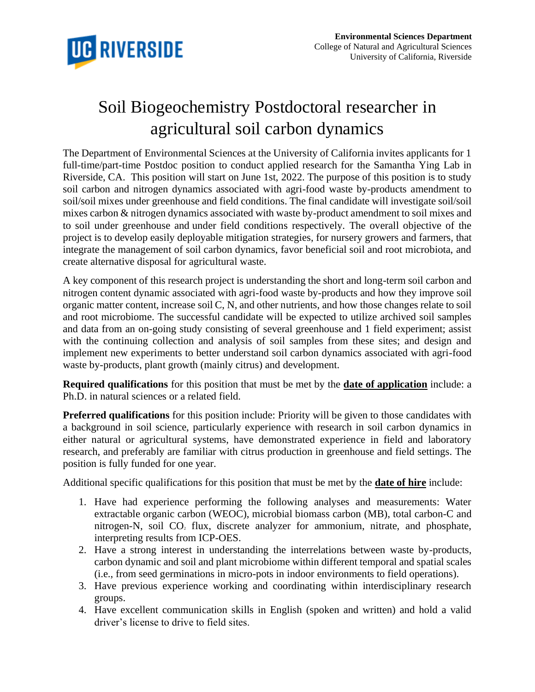

## Soil Biogeochemistry Postdoctoral researcher in agricultural soil carbon dynamics

The Department of Environmental Sciences at the University of California invites applicants for 1 full-time/part-time Postdoc position to conduct applied research for the Samantha Ying Lab in Riverside, CA. This position will start on June 1st, 2022. The purpose of this position is to study soil carbon and nitrogen dynamics associated with agri-food waste by-products amendment to soil/soil mixes under greenhouse and field conditions. The final candidate will investigate soil/soil mixes carbon & nitrogen dynamics associated with waste by-product amendment to soil mixes and to soil under greenhouse and under field conditions respectively. The overall objective of the project is to develop easily deployable mitigation strategies, for nursery growers and farmers, that integrate the management of soil carbon dynamics, favor beneficial soil and root microbiota, and create alternative disposal for agricultural waste.

A key component of this research project is understanding the short and long-term soil carbon and nitrogen content dynamic associated with agri-food waste by-products and how they improve soil organic matter content, increase soil C, N, and other nutrients, and how those changes relate to soil and root microbiome. The successful candidate will be expected to utilize archived soil samples and data from an on-going study consisting of several greenhouse and 1 field experiment; assist with the continuing collection and analysis of soil samples from these sites; and design and implement new experiments to better understand soil carbon dynamics associated with agri-food waste by-products, plant growth (mainly citrus) and development.

**Required qualifications** for this position that must be met by the **date of application** include: a Ph.D. in natural sciences or a related field.

**Preferred qualifications** for this position include: Priority will be given to those candidates with a background in soil science, particularly experience with research in soil carbon dynamics in either natural or agricultural systems, have demonstrated experience in field and laboratory research, and preferably are familiar with citrus production in greenhouse and field settings. The position is fully funded for one year.

Additional specific qualifications for this position that must be met by the **date of hire** include:

- 1. Have had experience performing the following analyses and measurements: Water extractable organic carbon (WEOC), microbial biomass carbon (MB), total carbon-C and nitrogen-N, soil CO<sub>2</sub> flux, discrete analyzer for ammonium, nitrate, and phosphate, interpreting results from ICP-OES.
- 2. Have a strong interest in understanding the interrelations between waste by-products, carbon dynamic and soil and plant microbiome within different temporal and spatial scales (i.e., from seed germinations in micro-pots in indoor environments to field operations).
- 3. Have previous experience working and coordinating within interdisciplinary research groups.
- 4. Have excellent communication skills in English (spoken and written) and hold a valid driver's license to drive to field sites.